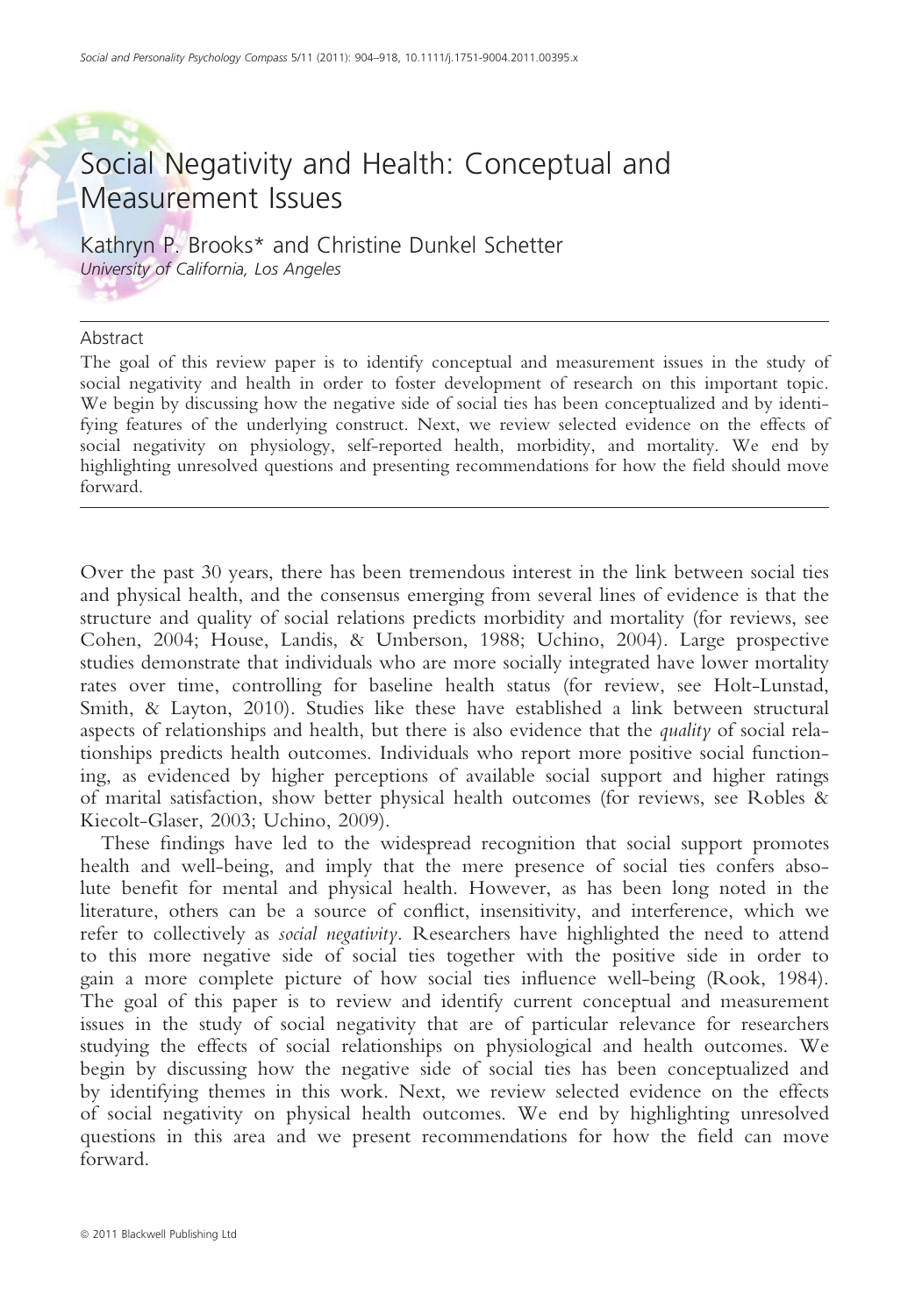# Social Negativity and Health: Conceptual and Measurement Issues

Kathryn P. Brooks\* and Christine Dunkel Schetter University of California, Los Angeles

#### Abstract

The goal of this review paper is to identify conceptual and measurement issues in the study of social negativity and health in order to foster development of research on this important topic. We begin by discussing how the negative side of social ties has been conceptualized and by identifying features of the underlying construct. Next, we review selected evidence on the effects of social negativity on physiology, self-reported health, morbidity, and mortality. We end by highlighting unresolved questions and presenting recommendations for how the field should move forward.

Over the past 30 years, there has been tremendous interest in the link between social ties and physical health, and the consensus emerging from several lines of evidence is that the structure and quality of social relations predicts morbidity and mortality (for reviews, see Cohen, 2004; House, Landis, & Umberson, 1988; Uchino, 2004). Large prospective studies demonstrate that individuals who are more socially integrated have lower mortality rates over time, controlling for baseline health status (for review, see Holt-Lunstad, Smith, & Layton, 2010). Studies like these have established a link between structural aspects of relationships and health, but there is also evidence that the *quality* of social relationships predicts health outcomes. Individuals who report more positive social functioning, as evidenced by higher perceptions of available social support and higher ratings of marital satisfaction, show better physical health outcomes (for reviews, see Robles & Kiecolt-Glaser, 2003; Uchino, 2009).

These findings have led to the widespread recognition that social support promotes health and well-being, and imply that the mere presence of social ties confers absolute benefit for mental and physical health. However, as has been long noted in the literature, others can be a source of conflict, insensitivity, and interference, which we refer to collectively as social negativity. Researchers have highlighted the need to attend to this more negative side of social ties together with the positive side in order to gain a more complete picture of how social ties influence well-being (Rook, 1984). The goal of this paper is to review and identify current conceptual and measurement issues in the study of social negativity that are of particular relevance for researchers studying the effects of social relationships on physiological and health outcomes. We begin by discussing how the negative side of social ties has been conceptualized and by identifying themes in this work. Next, we review selected evidence on the effects of social negativity on physical health outcomes. We end by highlighting unresolved questions in this area and we present recommendations for how the field can move forward.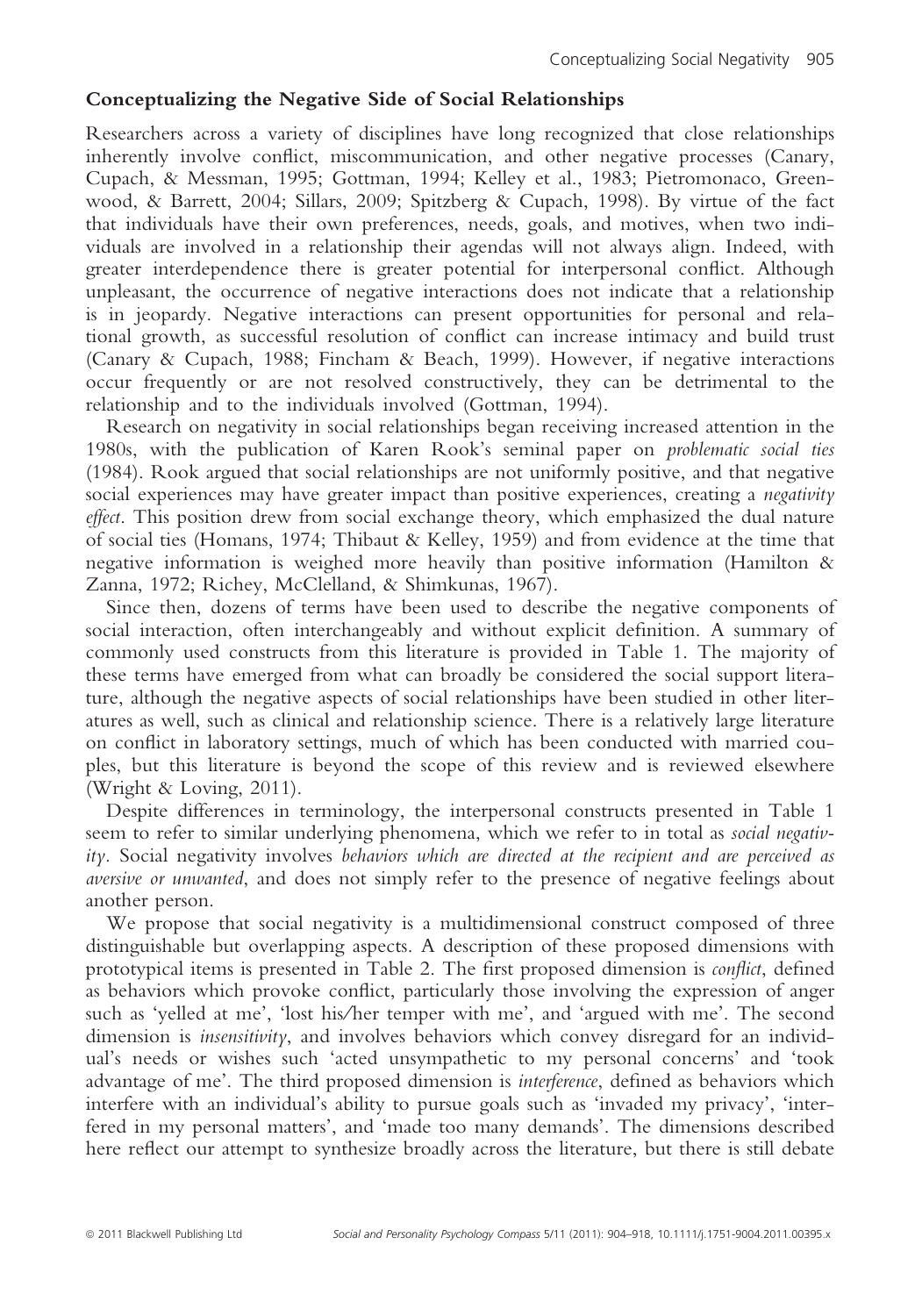#### Conceptualizing the Negative Side of Social Relationships

Researchers across a variety of disciplines have long recognized that close relationships inherently involve conflict, miscommunication, and other negative processes (Canary, Cupach, & Messman, 1995; Gottman, 1994; Kelley et al., 1983; Pietromonaco, Greenwood, & Barrett, 2004; Sillars, 2009; Spitzberg & Cupach, 1998). By virtue of the fact that individuals have their own preferences, needs, goals, and motives, when two individuals are involved in a relationship their agendas will not always align. Indeed, with greater interdependence there is greater potential for interpersonal conflict. Although unpleasant, the occurrence of negative interactions does not indicate that a relationship is in jeopardy. Negative interactions can present opportunities for personal and relational growth, as successful resolution of conflict can increase intimacy and build trust (Canary & Cupach, 1988; Fincham & Beach, 1999). However, if negative interactions occur frequently or are not resolved constructively, they can be detrimental to the relationship and to the individuals involved (Gottman, 1994).

Research on negativity in social relationships began receiving increased attention in the 1980s, with the publication of Karen Rook's seminal paper on problematic social ties (1984). Rook argued that social relationships are not uniformly positive, and that negative social experiences may have greater impact than positive experiences, creating a negativity effect. This position drew from social exchange theory, which emphasized the dual nature of social ties (Homans, 1974; Thibaut & Kelley, 1959) and from evidence at the time that negative information is weighed more heavily than positive information (Hamilton & Zanna, 1972; Richey, McClelland, & Shimkunas, 1967).

Since then, dozens of terms have been used to describe the negative components of social interaction, often interchangeably and without explicit definition. A summary of commonly used constructs from this literature is provided in Table 1. The majority of these terms have emerged from what can broadly be considered the social support literature, although the negative aspects of social relationships have been studied in other literatures as well, such as clinical and relationship science. There is a relatively large literature on conflict in laboratory settings, much of which has been conducted with married couples, but this literature is beyond the scope of this review and is reviewed elsewhere (Wright & Loving, 2011).

Despite differences in terminology, the interpersonal constructs presented in Table 1 seem to refer to similar underlying phenomena, which we refer to in total as *social negativ*ity. Social negativity involves behaviors which are directed at the recipient and are perceived as aversive or unwanted, and does not simply refer to the presence of negative feelings about another person.

We propose that social negativity is a multidimensional construct composed of three distinguishable but overlapping aspects. A description of these proposed dimensions with prototypical items is presented in Table 2. The first proposed dimension is conflict, defined as behaviors which provoke conflict, particularly those involving the expression of anger such as 'yelled at me', 'lost his⁄her temper with me', and 'argued with me'. The second dimension is insensitivity, and involves behaviors which convey disregard for an individual's needs or wishes such 'acted unsympathetic to my personal concerns' and 'took advantage of me'. The third proposed dimension is interference, defined as behaviors which interfere with an individual's ability to pursue goals such as 'invaded my privacy', 'interfered in my personal matters', and 'made too many demands'. The dimensions described here reflect our attempt to synthesize broadly across the literature, but there is still debate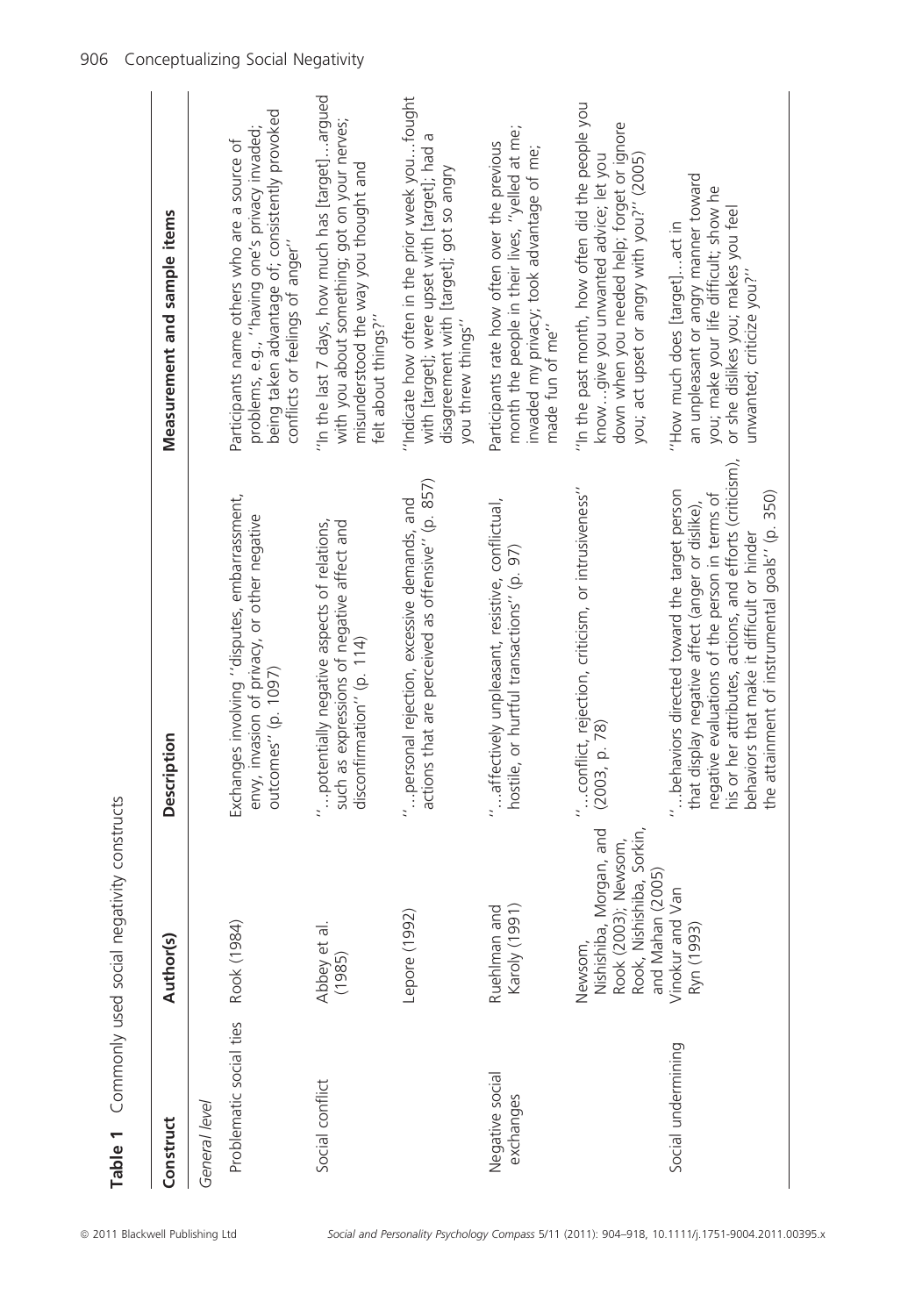| Construct                           | Author(s)                                                                               | <b>Description</b>                                                                                                                                                                                                                                                                                             | Measurement and sample items                                                                                                                                                          |
|-------------------------------------|-----------------------------------------------------------------------------------------|----------------------------------------------------------------------------------------------------------------------------------------------------------------------------------------------------------------------------------------------------------------------------------------------------------------|---------------------------------------------------------------------------------------------------------------------------------------------------------------------------------------|
| General level                       |                                                                                         |                                                                                                                                                                                                                                                                                                                |                                                                                                                                                                                       |
| Problematic social ties Rook (1984) |                                                                                         | Exchanges involving "disputes, embarrassment,<br>envy, invasion of privacy, or other negative<br>outcomes" (p. 1097)                                                                                                                                                                                           | being taken advantage of; consistently provoked<br>problems, e.g., "having one's privacy invaded;<br>Participants name others who are a source of<br>conflicts or feelings of anger"  |
| Social conflict                     | Abbey et al.<br>(1985)                                                                  | "potentially negative aspects of relations,<br>such as expressions of negative affect and<br>disconfirmation" (p. 114)                                                                                                                                                                                         | "In the last 7 days, how much has [target]argued<br>with you about something; got on your nerves;<br>misunderstood the way you thought and<br>felt about things?"                     |
|                                     | Lepore (1992)                                                                           | actions that are perceived as offensive" (p. 857)<br>" personal rejection, excessive demands, and                                                                                                                                                                                                              | "Indicate how often in the prior week youfought<br>with [target]; were upset with [target]; had<br>disagreement with [target]; got so angry<br>you threw things"                      |
| Negative social<br>exchanges        | Karoly (1991)<br>Ruehlman and                                                           | "affectively unpleasant, resistive, conflictual,<br>hostile, or hurtful transactions" (p. 97)                                                                                                                                                                                                                  | month the people in their lives, "yelled at me;<br>Participants rate how often over the previous<br>invaded my privacy; took advantage of me;<br>made fun of me"                      |
|                                     | Nishishiba, Morgan, and<br>Rook (2003); Newsom,<br>Rook, Nishishiba, Sorkin,<br>Newsom, | "conflict, rejection, criticism, or intrusiveness"<br>(2003, p. 78)                                                                                                                                                                                                                                            | "In the past month, how often did the people you<br>down when you needed help; forget or ignore<br>knowgive you unwanted advice; let you<br>you; act upset or angry with you?" (2005) |
| Social undermining                  | and Mahan (2005)<br>Vinokur and Van<br>Ryn (1993)                                       | his or her attributes, actions, and efforts (criticism),<br>"behaviors directed toward the target person<br>the attainment of instrumental goals" (p. 350)<br>negative evaluations of the person in terms of<br>that display negative affect (anger or dislike),<br>behaviors that make it difficult or hinder | an unpleasant or angry manner toward<br>you; make your life difficult; show he<br>or she dislikes you; makes you teel<br>"How much does [target]act in<br>unwanted; criticize you?"   |

Table 1 Commonly used social negativity constructs **Table 1** Commonly used social negativity constructs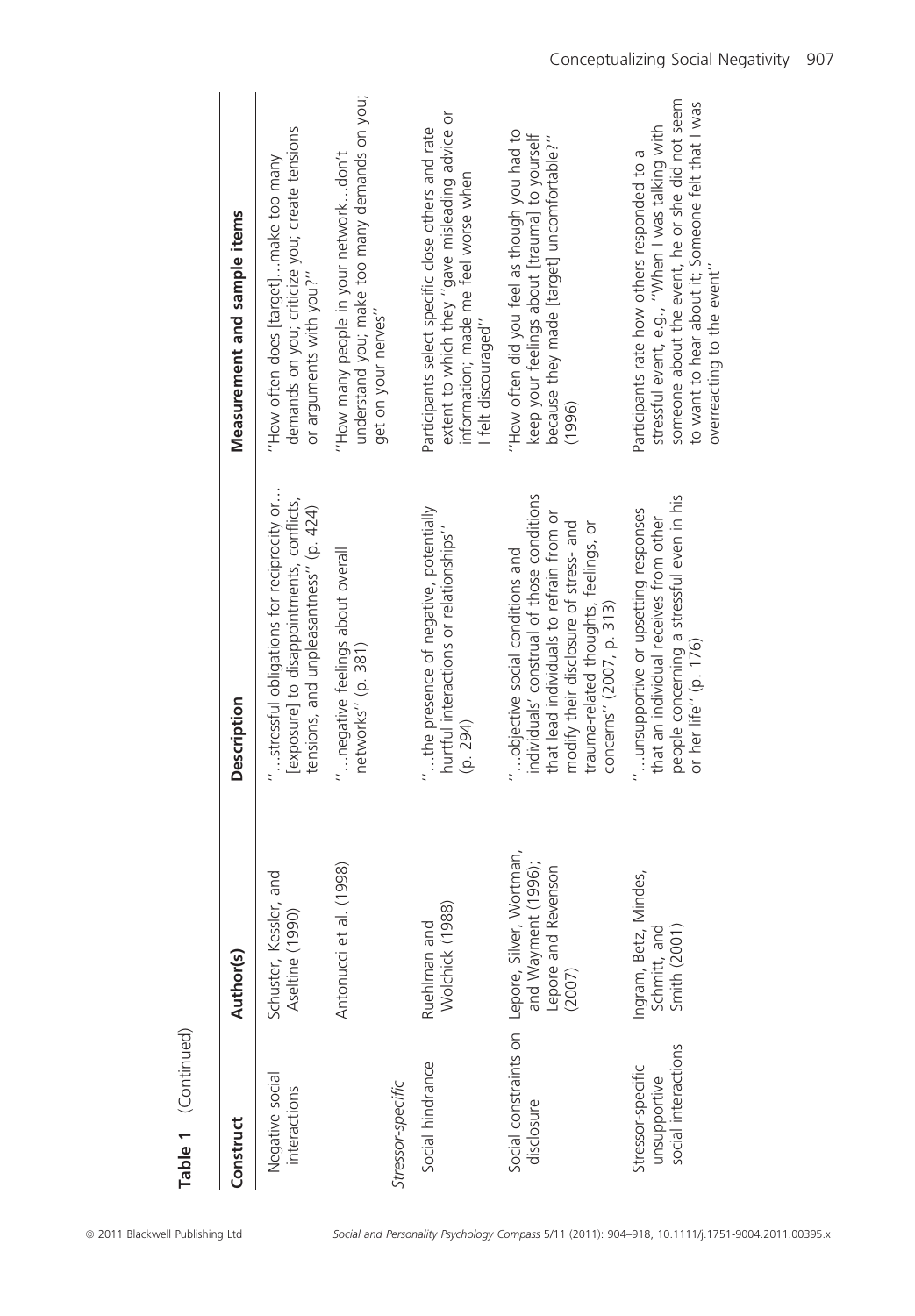| Construct                                                | Author(s)                                                                                                         | Description                                                                                                                                                                                                                               | Measurement and sample items                                                                                                                                                                                                         |
|----------------------------------------------------------|-------------------------------------------------------------------------------------------------------------------|-------------------------------------------------------------------------------------------------------------------------------------------------------------------------------------------------------------------------------------------|--------------------------------------------------------------------------------------------------------------------------------------------------------------------------------------------------------------------------------------|
| Negative social<br>interactions                          | Schuster, Kessler, and<br>Aseltine (1990)                                                                         | "stressful obligations for reciprocity or<br>exposure] to disappointments, conflicts,<br>tensions, and unpleasantness" (p. 424)                                                                                                           | demands on you; criticize you; create tensions<br>"How often does [target]make too many<br>or arguments with you?"                                                                                                                   |
|                                                          | al. (1998)<br>Antonucci et                                                                                        | "negative feelings about overall<br>networks" (p. 381)                                                                                                                                                                                    | understand you; make too many demands on you;<br>"How many people in your networkdon't<br>get on your nerves"                                                                                                                        |
| Stressor-specific                                        |                                                                                                                   |                                                                                                                                                                                                                                           |                                                                                                                                                                                                                                      |
| Social hindrance                                         | Wolchick (1988)<br>Ruehlman and                                                                                   | "the presence of negative, potentially<br>hurtful interactions or relationships"<br>(p. 294)                                                                                                                                              | extent to which they "gave misleading advice or<br>Participants select specific close others and rate<br>information; made me feel worse when<br>I felt discouraged"                                                                 |
|                                                          | Social constraints on Lepore, Silver, Wortman,<br>disclosure and Wayment (1996);<br>Lepore and Revenson<br>(2007) | individuals' construal of those conditions<br>that lead individuals to refrain from or<br>modify their disclosure of stress- and<br>trauma-related thoughts, feelings, or<br>"objective social conditions and<br>concerns' (2007, p. 313) | "How often did you feel as though you had to<br>keep your feelings about [trauma] to yourself<br>because they made [target] uncomfortable?"<br>(1996)                                                                                |
| social interactions<br>Stressor-specific<br>unsupportive | Ingram, Betz, Mindes,<br>Schmitt, and<br>Smith (2001)                                                             | people concerning a stressful even in his<br>"unsupportive or upsetting responses<br>that an individual receives from other<br>or her life" (p. 176)                                                                                      | someone about the event, he or she did not seem<br>to want to hear about it; Someone felt that I was<br>stressful event, e.g., "When I was talking with<br>Participants rate how others responded to a<br>overreacting to the event" |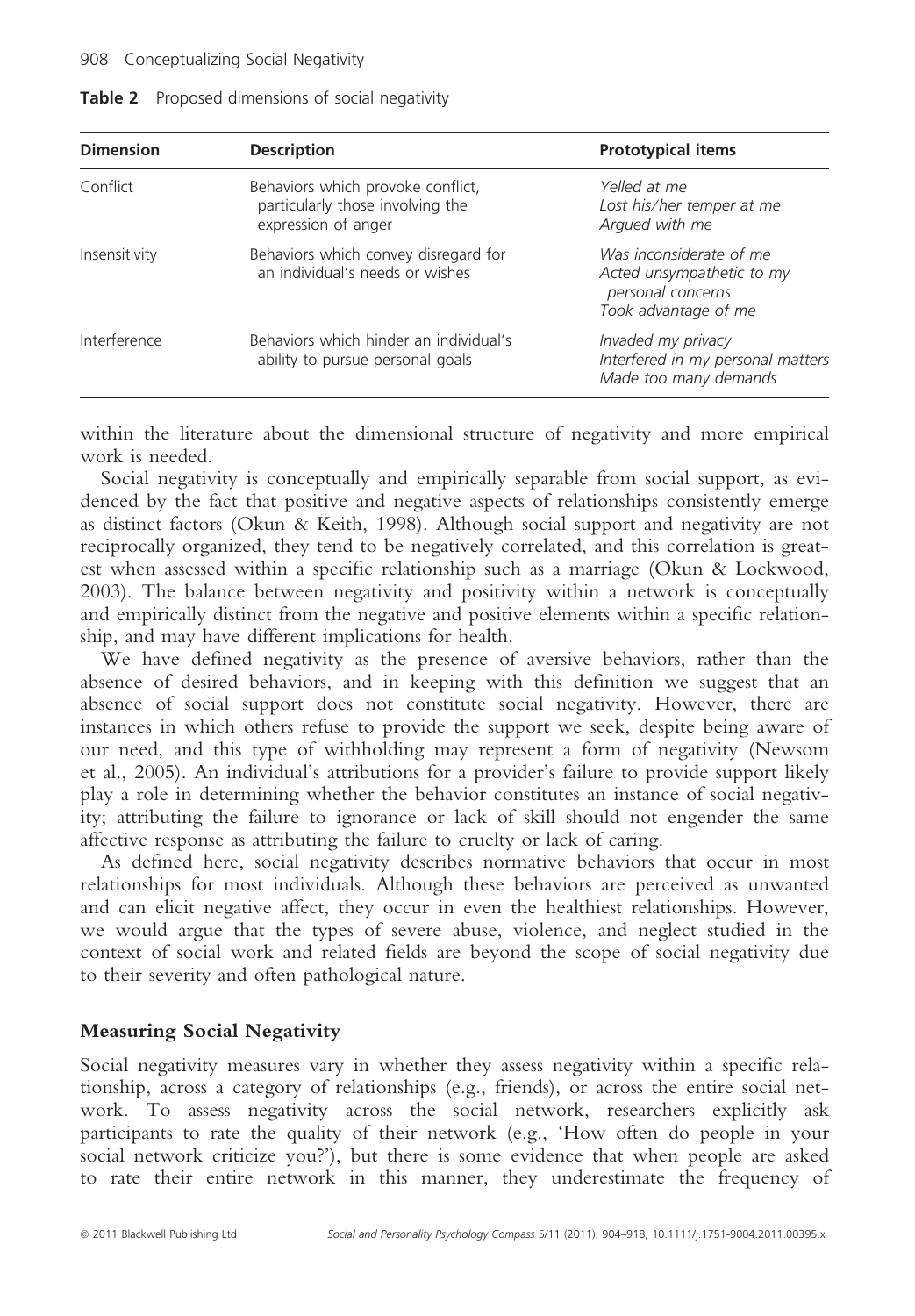| <b>Dimension</b> | <b>Description</b>                                                                           | <b>Prototypical items</b>                                                                         |
|------------------|----------------------------------------------------------------------------------------------|---------------------------------------------------------------------------------------------------|
| Conflict         | Behaviors which provoke conflict,<br>particularly those involving the<br>expression of anger | Yelled at me<br>Lost his/her temper at me<br>Argued with me                                       |
| Insensitivity    | Behaviors which convey disregard for<br>an individual's needs or wishes                      | Was inconsiderate of me<br>Acted unsympathetic to my<br>personal concerns<br>Took advantage of me |
| Interference     | Behaviors which hinder an individual's<br>ability to pursue personal goals                   | Invaded my privacy<br>Interfered in my personal matters<br>Made too many demands                  |

Table 2 Proposed dimensions of social negativity

within the literature about the dimensional structure of negativity and more empirical work is needed.

Social negativity is conceptually and empirically separable from social support, as evidenced by the fact that positive and negative aspects of relationships consistently emerge as distinct factors (Okun & Keith, 1998). Although social support and negativity are not reciprocally organized, they tend to be negatively correlated, and this correlation is greatest when assessed within a specific relationship such as a marriage (Okun & Lockwood, 2003). The balance between negativity and positivity within a network is conceptually and empirically distinct from the negative and positive elements within a specific relationship, and may have different implications for health.

We have defined negativity as the presence of aversive behaviors, rather than the absence of desired behaviors, and in keeping with this definition we suggest that an absence of social support does not constitute social negativity. However, there are instances in which others refuse to provide the support we seek, despite being aware of our need, and this type of withholding may represent a form of negativity (Newsom et al., 2005). An individual's attributions for a provider's failure to provide support likely play a role in determining whether the behavior constitutes an instance of social negativity; attributing the failure to ignorance or lack of skill should not engender the same affective response as attributing the failure to cruelty or lack of caring.

As defined here, social negativity describes normative behaviors that occur in most relationships for most individuals. Although these behaviors are perceived as unwanted and can elicit negative affect, they occur in even the healthiest relationships. However, we would argue that the types of severe abuse, violence, and neglect studied in the context of social work and related fields are beyond the scope of social negativity due to their severity and often pathological nature.

## Measuring Social Negativity

Social negativity measures vary in whether they assess negativity within a specific relationship, across a category of relationships (e.g., friends), or across the entire social network. To assess negativity across the social network, researchers explicitly ask participants to rate the quality of their network (e.g., 'How often do people in your social network criticize you?'), but there is some evidence that when people are asked to rate their entire network in this manner, they underestimate the frequency of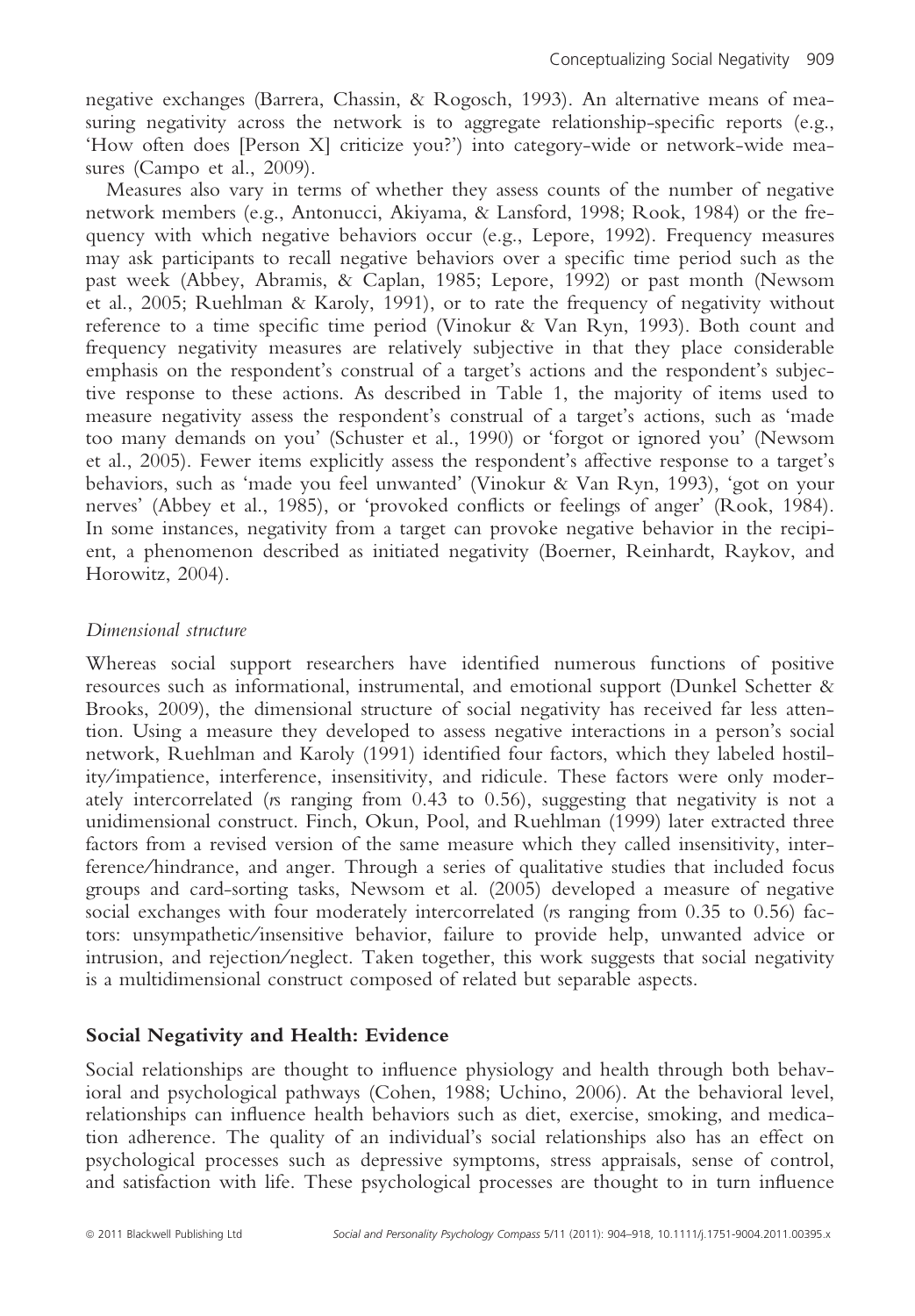negative exchanges (Barrera, Chassin, & Rogosch, 1993). An alternative means of measuring negativity across the network is to aggregate relationship-specific reports (e.g., 'How often does [Person X] criticize you?') into category-wide or network-wide measures (Campo et al., 2009).

Measures also vary in terms of whether they assess counts of the number of negative network members (e.g., Antonucci, Akiyama, & Lansford, 1998; Rook, 1984) or the frequency with which negative behaviors occur (e.g., Lepore, 1992). Frequency measures may ask participants to recall negative behaviors over a specific time period such as the past week (Abbey, Abramis, & Caplan, 1985; Lepore, 1992) or past month (Newsom et al., 2005; Ruehlman & Karoly, 1991), or to rate the frequency of negativity without reference to a time specific time period (Vinokur & Van Ryn, 1993). Both count and frequency negativity measures are relatively subjective in that they place considerable emphasis on the respondent's construal of a target's actions and the respondent's subjective response to these actions. As described in Table 1, the majority of items used to measure negativity assess the respondent's construal of a target's actions, such as 'made too many demands on you' (Schuster et al., 1990) or 'forgot or ignored you' (Newsom et al., 2005). Fewer items explicitly assess the respondent's affective response to a target's behaviors, such as 'made you feel unwanted' (Vinokur & Van Ryn, 1993), 'got on your nerves' (Abbey et al., 1985), or 'provoked conflicts or feelings of anger' (Rook, 1984). In some instances, negativity from a target can provoke negative behavior in the recipient, a phenomenon described as initiated negativity (Boerner, Reinhardt, Raykov, and Horowitz, 2004).

#### Dimensional structure

Whereas social support researchers have identified numerous functions of positive resources such as informational, instrumental, and emotional support (Dunkel Schetter & Brooks, 2009), the dimensional structure of social negativity has received far less attention. Using a measure they developed to assess negative interactions in a person's social network, Ruehlman and Karoly (1991) identified four factors, which they labeled hostility ⁄impatience, interference, insensitivity, and ridicule. These factors were only moderately intercorrelated (rs ranging from 0.43 to 0.56), suggesting that negativity is not a unidimensional construct. Finch, Okun, Pool, and Ruehlman (1999) later extracted three factors from a revised version of the same measure which they called insensitivity, interference ⁄hindrance, and anger. Through a series of qualitative studies that included focus groups and card-sorting tasks, Newsom et al. (2005) developed a measure of negative social exchanges with four moderately intercorrelated (*rs* ranging from 0.35 to 0.56) factors: unsympathetic ⁄insensitive behavior, failure to provide help, unwanted advice or intrusion, and rejection ⁄neglect. Taken together, this work suggests that social negativity is a multidimensional construct composed of related but separable aspects.

## Social Negativity and Health: Evidence

Social relationships are thought to influence physiology and health through both behavioral and psychological pathways (Cohen, 1988; Uchino, 2006). At the behavioral level, relationships can influence health behaviors such as diet, exercise, smoking, and medication adherence. The quality of an individual's social relationships also has an effect on psychological processes such as depressive symptoms, stress appraisals, sense of control, and satisfaction with life. These psychological processes are thought to in turn influence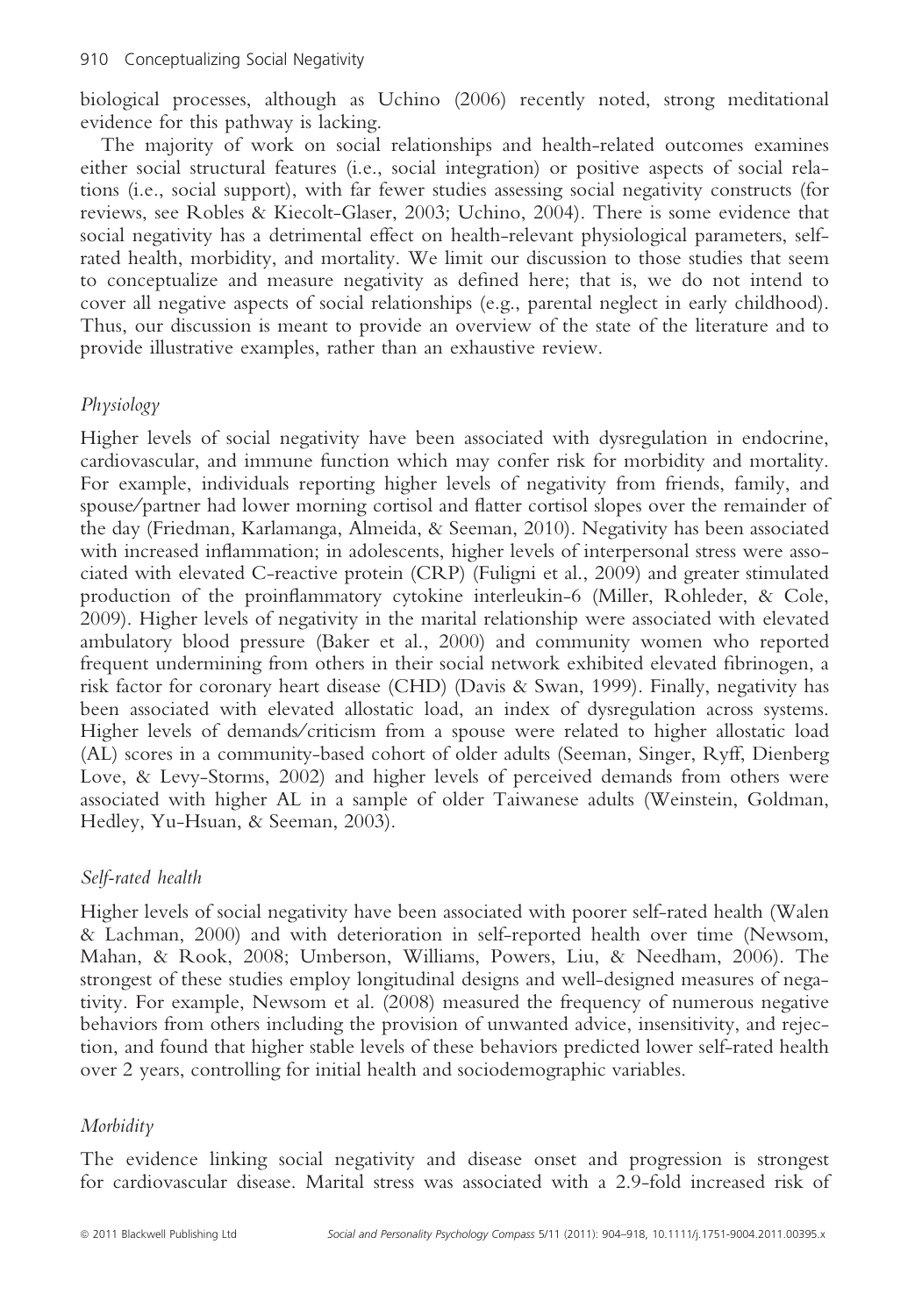biological processes, although as Uchino (2006) recently noted, strong meditational evidence for this pathway is lacking.

The majority of work on social relationships and health-related outcomes examines either social structural features (i.e., social integration) or positive aspects of social relations (i.e., social support), with far fewer studies assessing social negativity constructs (for reviews, see Robles & Kiecolt-Glaser, 2003; Uchino, 2004). There is some evidence that social negativity has a detrimental effect on health-relevant physiological parameters, selfrated health, morbidity, and mortality. We limit our discussion to those studies that seem to conceptualize and measure negativity as defined here; that is, we do not intend to cover all negative aspects of social relationships (e.g., parental neglect in early childhood). Thus, our discussion is meant to provide an overview of the state of the literature and to provide illustrative examples, rather than an exhaustive review.

## Physiology

Higher levels of social negativity have been associated with dysregulation in endocrine, cardiovascular, and immune function which may confer risk for morbidity and mortality. For example, individuals reporting higher levels of negativity from friends, family, and spouse ⁄ partner had lower morning cortisol and flatter cortisol slopes over the remainder of the day (Friedman, Karlamanga, Almeida, & Seeman, 2010). Negativity has been associated with increased inflammation; in adolescents, higher levels of interpersonal stress were associated with elevated C-reactive protein (CRP) (Fuligni et al., 2009) and greater stimulated production of the proinflammatory cytokine interleukin-6 (Miller, Rohleder, & Cole, 2009). Higher levels of negativity in the marital relationship were associated with elevated ambulatory blood pressure (Baker et al., 2000) and community women who reported frequent undermining from others in their social network exhibited elevated fibrinogen, a risk factor for coronary heart disease (CHD) (Davis & Swan, 1999). Finally, negativity has been associated with elevated allostatic load, an index of dysregulation across systems. Higher levels of demands⁄ criticism from a spouse were related to higher allostatic load (AL) scores in a community-based cohort of older adults (Seeman, Singer, Ryff, Dienberg Love, & Levy-Storms, 2002) and higher levels of perceived demands from others were associated with higher AL in a sample of older Taiwanese adults (Weinstein, Goldman, Hedley, Yu-Hsuan, & Seeman, 2003).

## Self-rated health

Higher levels of social negativity have been associated with poorer self-rated health (Walen & Lachman, 2000) and with deterioration in self-reported health over time (Newsom, Mahan, & Rook, 2008; Umberson, Williams, Powers, Liu, & Needham, 2006). The strongest of these studies employ longitudinal designs and well-designed measures of negativity. For example, Newsom et al. (2008) measured the frequency of numerous negative behaviors from others including the provision of unwanted advice, insensitivity, and rejection, and found that higher stable levels of these behaviors predicted lower self-rated health over 2 years, controlling for initial health and sociodemographic variables.

# Morbidity

The evidence linking social negativity and disease onset and progression is strongest for cardiovascular disease. Marital stress was associated with a 2.9-fold increased risk of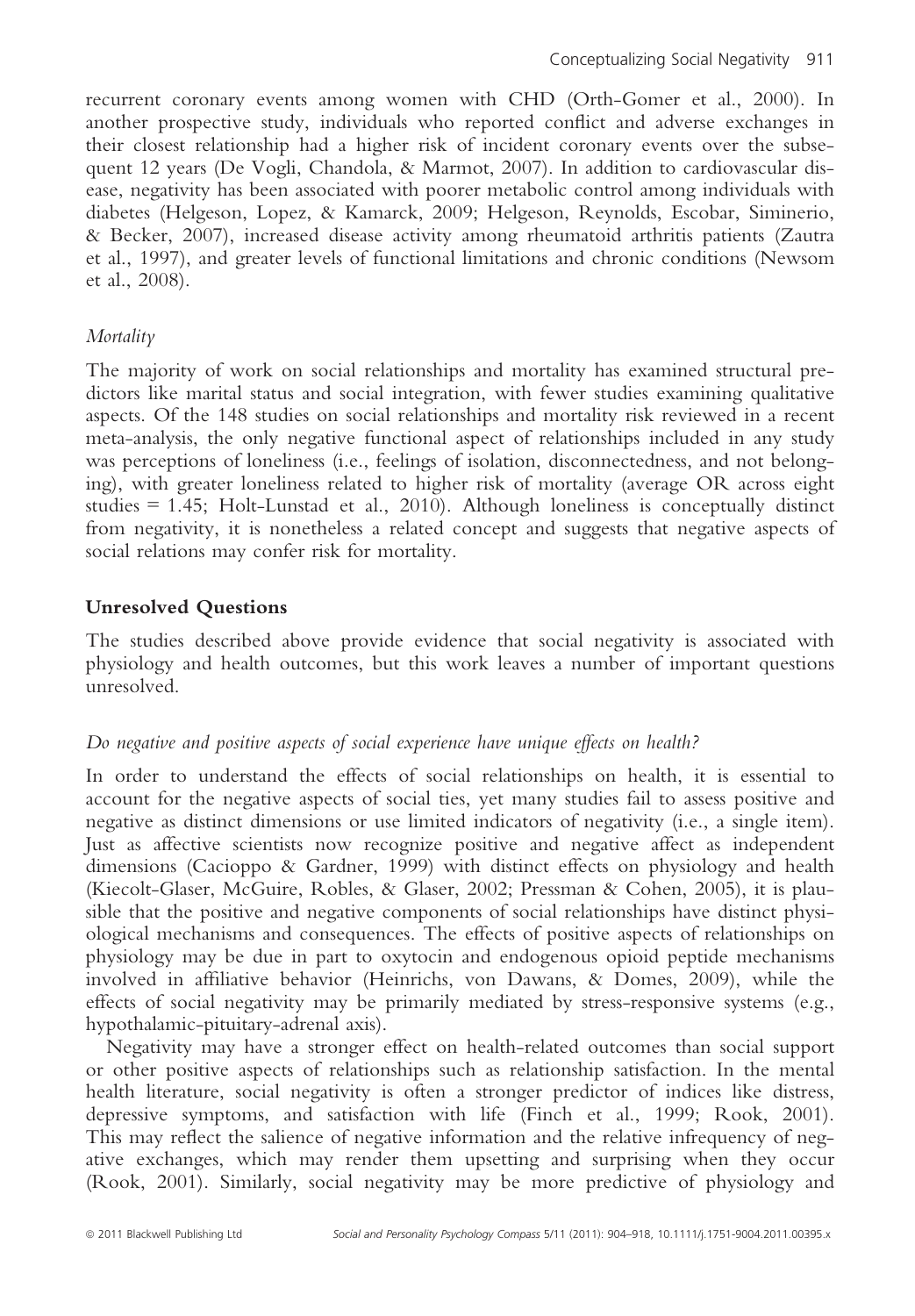recurrent coronary events among women with CHD (Orth-Gomer et al., 2000). In another prospective study, individuals who reported conflict and adverse exchanges in their closest relationship had a higher risk of incident coronary events over the subsequent 12 years (De Vogli, Chandola, & Marmot, 2007). In addition to cardiovascular disease, negativity has been associated with poorer metabolic control among individuals with diabetes (Helgeson, Lopez, & Kamarck, 2009; Helgeson, Reynolds, Escobar, Siminerio, & Becker, 2007), increased disease activity among rheumatoid arthritis patients (Zautra et al., 1997), and greater levels of functional limitations and chronic conditions (Newsom et al., 2008).

## Mortality

The majority of work on social relationships and mortality has examined structural predictors like marital status and social integration, with fewer studies examining qualitative aspects. Of the 148 studies on social relationships and mortality risk reviewed in a recent meta-analysis, the only negative functional aspect of relationships included in any study was perceptions of loneliness (i.e., feelings of isolation, disconnectedness, and not belonging), with greater loneliness related to higher risk of mortality (average OR across eight studies = 1.45; Holt-Lunstad et al., 2010). Although loneliness is conceptually distinct from negativity, it is nonetheless a related concept and suggests that negative aspects of social relations may confer risk for mortality.

# Unresolved Questions

The studies described above provide evidence that social negativity is associated with physiology and health outcomes, but this work leaves a number of important questions unresolved.

# Do negative and positive aspects of social experience have unique effects on health?

In order to understand the effects of social relationships on health, it is essential to account for the negative aspects of social ties, yet many studies fail to assess positive and negative as distinct dimensions or use limited indicators of negativity (i.e., a single item). Just as affective scientists now recognize positive and negative affect as independent dimensions (Cacioppo & Gardner, 1999) with distinct effects on physiology and health (Kiecolt-Glaser, McGuire, Robles, & Glaser, 2002; Pressman & Cohen, 2005), it is plausible that the positive and negative components of social relationships have distinct physiological mechanisms and consequences. The effects of positive aspects of relationships on physiology may be due in part to oxytocin and endogenous opioid peptide mechanisms involved in affiliative behavior (Heinrichs, von Dawans, & Domes, 2009), while the effects of social negativity may be primarily mediated by stress-responsive systems (e.g., hypothalamic-pituitary-adrenal axis).

Negativity may have a stronger effect on health-related outcomes than social support or other positive aspects of relationships such as relationship satisfaction. In the mental health literature, social negativity is often a stronger predictor of indices like distress, depressive symptoms, and satisfaction with life (Finch et al., 1999; Rook, 2001). This may reflect the salience of negative information and the relative infrequency of negative exchanges, which may render them upsetting and surprising when they occur (Rook, 2001). Similarly, social negativity may be more predictive of physiology and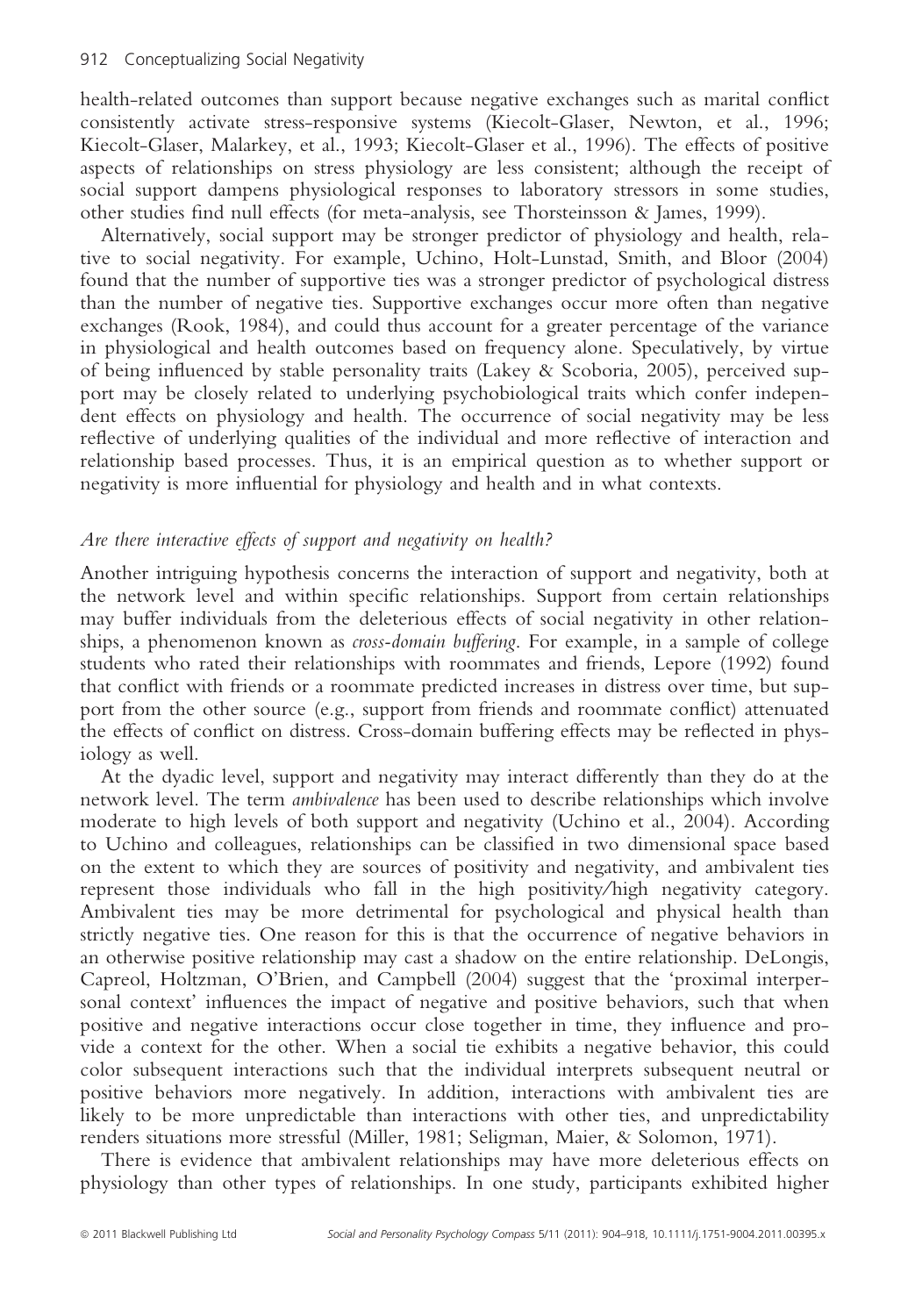health-related outcomes than support because negative exchanges such as marital conflict consistently activate stress-responsive systems (Kiecolt-Glaser, Newton, et al., 1996; Kiecolt-Glaser, Malarkey, et al., 1993; Kiecolt-Glaser et al., 1996). The effects of positive aspects of relationships on stress physiology are less consistent; although the receipt of social support dampens physiological responses to laboratory stressors in some studies, other studies find null effects (for meta-analysis, see Thorsteinsson & James, 1999).

Alternatively, social support may be stronger predictor of physiology and health, relative to social negativity. For example, Uchino, Holt-Lunstad, Smith, and Bloor (2004) found that the number of supportive ties was a stronger predictor of psychological distress than the number of negative ties. Supportive exchanges occur more often than negative exchanges (Rook, 1984), and could thus account for a greater percentage of the variance in physiological and health outcomes based on frequency alone. Speculatively, by virtue of being influenced by stable personality traits (Lakey & Scoboria, 2005), perceived support may be closely related to underlying psychobiological traits which confer independent effects on physiology and health. The occurrence of social negativity may be less reflective of underlying qualities of the individual and more reflective of interaction and relationship based processes. Thus, it is an empirical question as to whether support or negativity is more influential for physiology and health and in what contexts.

## Are there interactive effects of support and negativity on health?

Another intriguing hypothesis concerns the interaction of support and negativity, both at the network level and within specific relationships. Support from certain relationships may buffer individuals from the deleterious effects of social negativity in other relationships, a phenomenon known as cross-domain buffering. For example, in a sample of college students who rated their relationships with roommates and friends, Lepore (1992) found that conflict with friends or a roommate predicted increases in distress over time, but support from the other source (e.g., support from friends and roommate conflict) attenuated the effects of conflict on distress. Cross-domain buffering effects may be reflected in physiology as well.

At the dyadic level, support and negativity may interact differently than they do at the network level. The term ambivalence has been used to describe relationships which involve moderate to high levels of both support and negativity (Uchino et al., 2004). According to Uchino and colleagues, relationships can be classified in two dimensional space based on the extent to which they are sources of positivity and negativity, and ambivalent ties represent those individuals who fall in the high positivity ⁄high negativity category. Ambivalent ties may be more detrimental for psychological and physical health than strictly negative ties. One reason for this is that the occurrence of negative behaviors in an otherwise positive relationship may cast a shadow on the entire relationship. DeLongis, Capreol, Holtzman, O'Brien, and Campbell (2004) suggest that the 'proximal interpersonal context' influences the impact of negative and positive behaviors, such that when positive and negative interactions occur close together in time, they influence and provide a context for the other. When a social tie exhibits a negative behavior, this could color subsequent interactions such that the individual interprets subsequent neutral or positive behaviors more negatively. In addition, interactions with ambivalent ties are likely to be more unpredictable than interactions with other ties, and unpredictability renders situations more stressful (Miller, 1981; Seligman, Maier, & Solomon, 1971).

There is evidence that ambivalent relationships may have more deleterious effects on physiology than other types of relationships. In one study, participants exhibited higher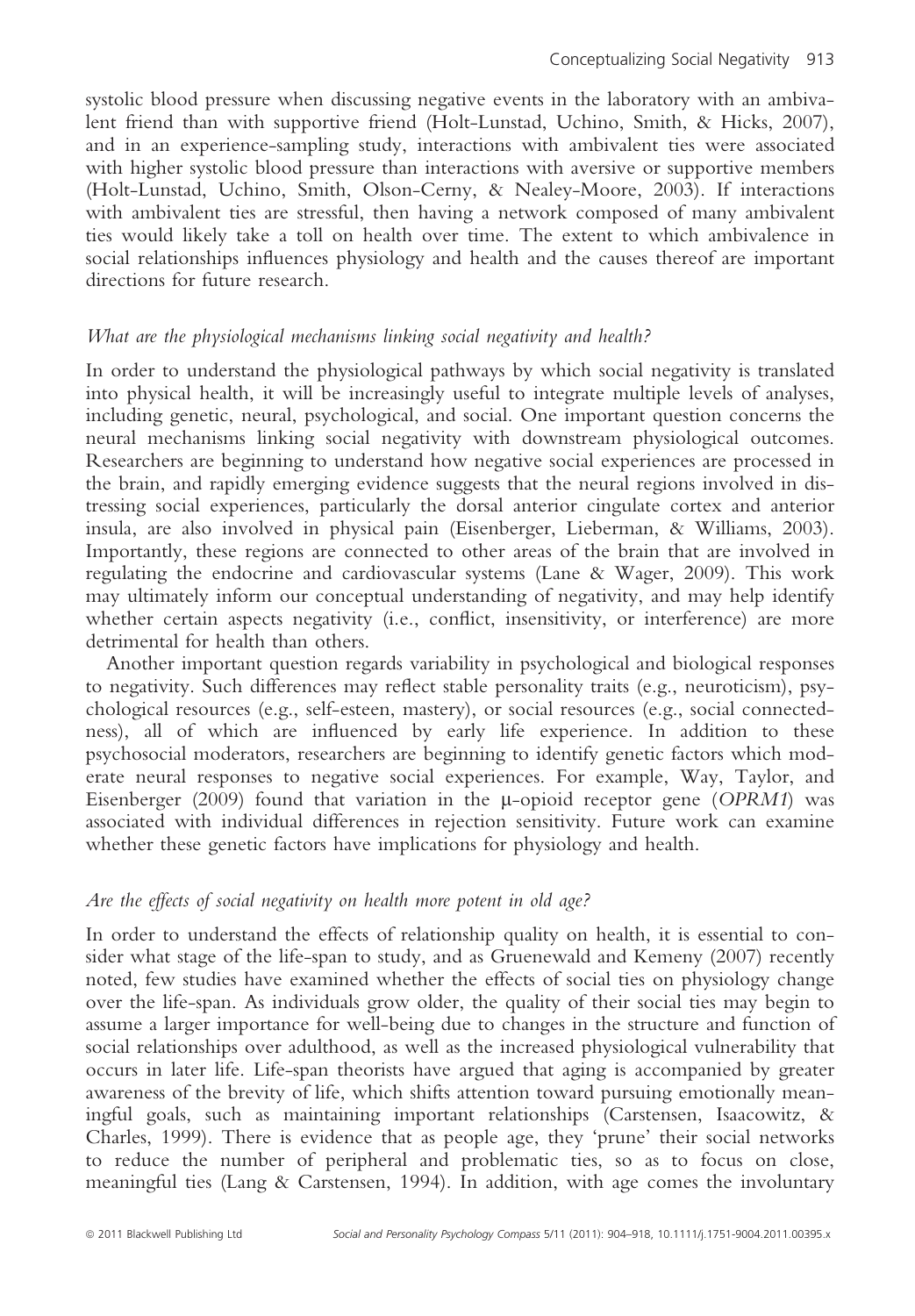systolic blood pressure when discussing negative events in the laboratory with an ambivalent friend than with supportive friend (Holt-Lunstad, Uchino, Smith, & Hicks, 2007), and in an experience-sampling study, interactions with ambivalent ties were associated with higher systolic blood pressure than interactions with aversive or supportive members (Holt-Lunstad, Uchino, Smith, Olson-Cerny, & Nealey-Moore, 2003). If interactions with ambivalent ties are stressful, then having a network composed of many ambivalent ties would likely take a toll on health over time. The extent to which ambivalence in social relationships influences physiology and health and the causes thereof are important directions for future research.

#### What are the physiological mechanisms linking social negativity and health?

In order to understand the physiological pathways by which social negativity is translated into physical health, it will be increasingly useful to integrate multiple levels of analyses, including genetic, neural, psychological, and social. One important question concerns the neural mechanisms linking social negativity with downstream physiological outcomes. Researchers are beginning to understand how negative social experiences are processed in the brain, and rapidly emerging evidence suggests that the neural regions involved in distressing social experiences, particularly the dorsal anterior cingulate cortex and anterior insula, are also involved in physical pain (Eisenberger, Lieberman, & Williams, 2003). Importantly, these regions are connected to other areas of the brain that are involved in regulating the endocrine and cardiovascular systems (Lane & Wager, 2009). This work may ultimately inform our conceptual understanding of negativity, and may help identify whether certain aspects negativity (i.e., conflict, insensitivity, or interference) are more detrimental for health than others.

Another important question regards variability in psychological and biological responses to negativity. Such differences may reflect stable personality traits (e.g., neuroticism), psychological resources (e.g., self-esteen, mastery), or social resources (e.g., social connectedness), all of which are influenced by early life experience. In addition to these psychosocial moderators, researchers are beginning to identify genetic factors which moderate neural responses to negative social experiences. For example, Way, Taylor, and Eisenberger (2009) found that variation in the  $\mu$ -opioid receptor gene (OPRM1) was associated with individual differences in rejection sensitivity. Future work can examine whether these genetic factors have implications for physiology and health.

## Are the effects of social negativity on health more potent in old age?

In order to understand the effects of relationship quality on health, it is essential to consider what stage of the life-span to study, and as Gruenewald and Kemeny (2007) recently noted, few studies have examined whether the effects of social ties on physiology change over the life-span. As individuals grow older, the quality of their social ties may begin to assume a larger importance for well-being due to changes in the structure and function of social relationships over adulthood, as well as the increased physiological vulnerability that occurs in later life. Life-span theorists have argued that aging is accompanied by greater awareness of the brevity of life, which shifts attention toward pursuing emotionally meaningful goals, such as maintaining important relationships (Carstensen, Isaacowitz, & Charles, 1999). There is evidence that as people age, they 'prune' their social networks to reduce the number of peripheral and problematic ties, so as to focus on close, meaningful ties (Lang & Carstensen, 1994). In addition, with age comes the involuntary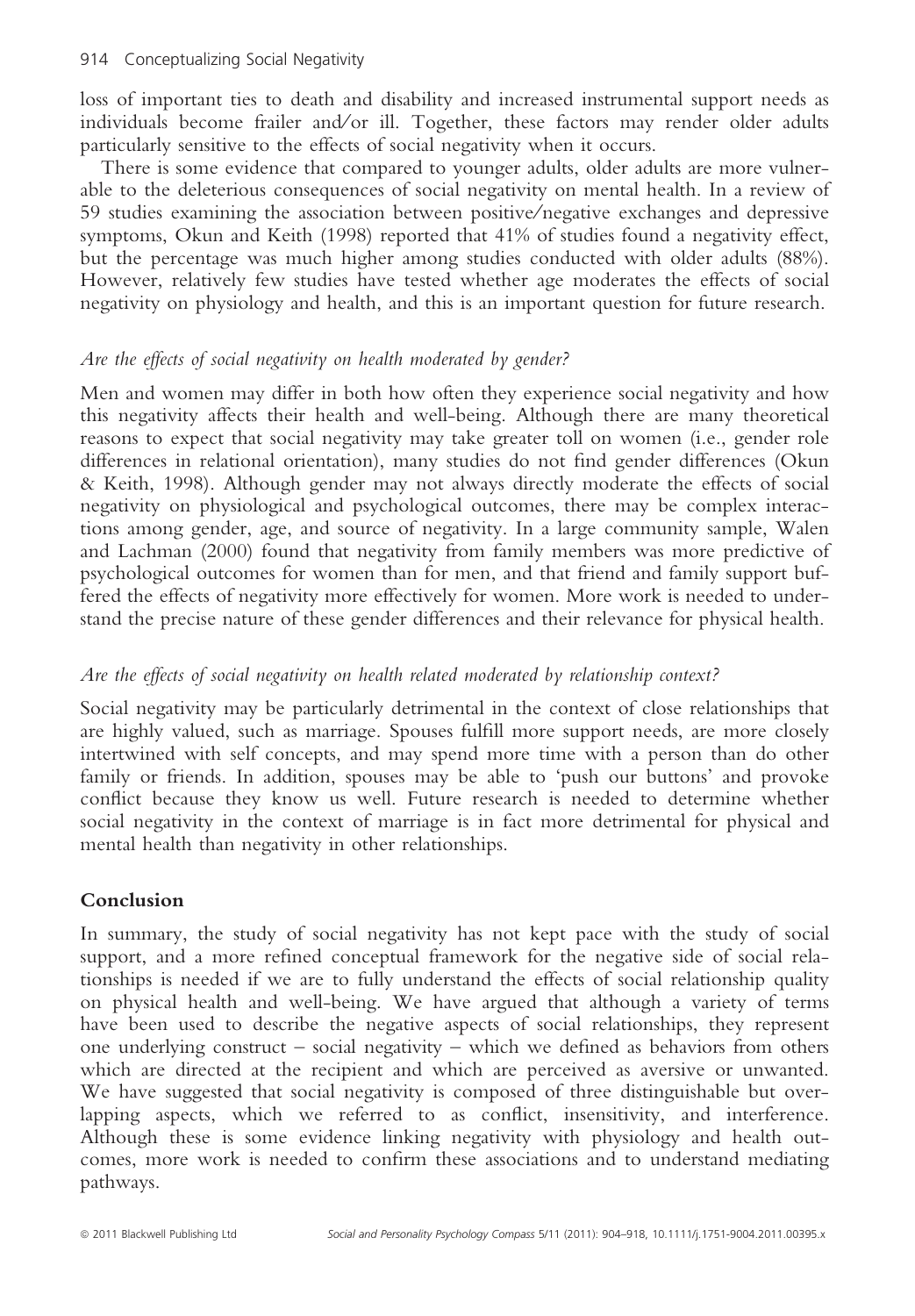loss of important ties to death and disability and increased instrumental support needs as individuals become frailer and/or ill. Together, these factors may render older adults particularly sensitive to the effects of social negativity when it occurs.

There is some evidence that compared to younger adults, older adults are more vulnerable to the deleterious consequences of social negativity on mental health. In a review of 59 studies examining the association between positive/negative exchanges and depressive symptoms, Okun and Keith (1998) reported that 41% of studies found a negativity effect, but the percentage was much higher among studies conducted with older adults (88%). However, relatively few studies have tested whether age moderates the effects of social negativity on physiology and health, and this is an important question for future research.

## Are the effects of social negativity on health moderated by gender?

Men and women may differ in both how often they experience social negativity and how this negativity affects their health and well-being. Although there are many theoretical reasons to expect that social negativity may take greater toll on women (i.e., gender role differences in relational orientation), many studies do not find gender differences (Okun & Keith, 1998). Although gender may not always directly moderate the effects of social negativity on physiological and psychological outcomes, there may be complex interactions among gender, age, and source of negativity. In a large community sample, Walen and Lachman (2000) found that negativity from family members was more predictive of psychological outcomes for women than for men, and that friend and family support buffered the effects of negativity more effectively for women. More work is needed to understand the precise nature of these gender differences and their relevance for physical health.

# Are the effects of social negativity on health related moderated by relationship context?

Social negativity may be particularly detrimental in the context of close relationships that are highly valued, such as marriage. Spouses fulfill more support needs, are more closely intertwined with self concepts, and may spend more time with a person than do other family or friends. In addition, spouses may be able to 'push our buttons' and provoke conflict because they know us well. Future research is needed to determine whether social negativity in the context of marriage is in fact more detrimental for physical and mental health than negativity in other relationships.

# Conclusion

In summary, the study of social negativity has not kept pace with the study of social support, and a more refined conceptual framework for the negative side of social relationships is needed if we are to fully understand the effects of social relationship quality on physical health and well-being. We have argued that although a variety of terms have been used to describe the negative aspects of social relationships, they represent one underlying construct – social negativity – which we defined as behaviors from others which are directed at the recipient and which are perceived as aversive or unwanted. We have suggested that social negativity is composed of three distinguishable but overlapping aspects, which we referred to as conflict, insensitivity, and interference. Although these is some evidence linking negativity with physiology and health outcomes, more work is needed to confirm these associations and to understand mediating pathways.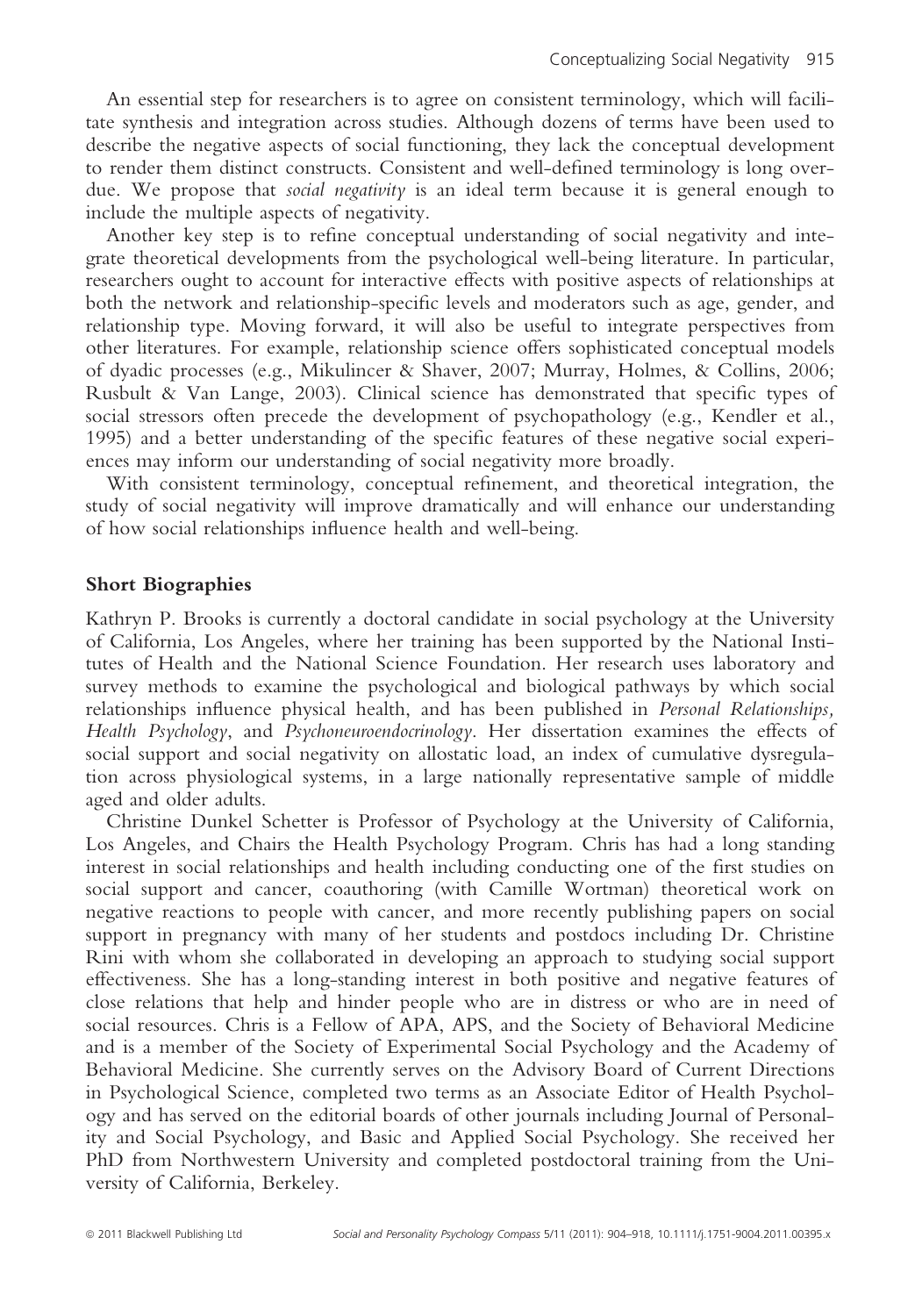An essential step for researchers is to agree on consistent terminology, which will facilitate synthesis and integration across studies. Although dozens of terms have been used to describe the negative aspects of social functioning, they lack the conceptual development to render them distinct constructs. Consistent and well-defined terminology is long overdue. We propose that *social negativity* is an ideal term because it is general enough to include the multiple aspects of negativity.

Another key step is to refine conceptual understanding of social negativity and integrate theoretical developments from the psychological well-being literature. In particular, researchers ought to account for interactive effects with positive aspects of relationships at both the network and relationship-specific levels and moderators such as age, gender, and relationship type. Moving forward, it will also be useful to integrate perspectives from other literatures. For example, relationship science offers sophisticated conceptual models of dyadic processes (e.g., Mikulincer & Shaver, 2007; Murray, Holmes, & Collins, 2006; Rusbult & Van Lange, 2003). Clinical science has demonstrated that specific types of social stressors often precede the development of psychopathology (e.g., Kendler et al., 1995) and a better understanding of the specific features of these negative social experiences may inform our understanding of social negativity more broadly.

With consistent terminology, conceptual refinement, and theoretical integration, the study of social negativity will improve dramatically and will enhance our understanding of how social relationships influence health and well-being.

#### Short Biographies

Kathryn P. Brooks is currently a doctoral candidate in social psychology at the University of California, Los Angeles, where her training has been supported by the National Institutes of Health and the National Science Foundation. Her research uses laboratory and survey methods to examine the psychological and biological pathways by which social relationships influence physical health, and has been published in Personal Relationships, Health Psychology, and Psychoneuroendocrinology. Her dissertation examines the effects of social support and social negativity on allostatic load, an index of cumulative dysregulation across physiological systems, in a large nationally representative sample of middle aged and older adults.

Christine Dunkel Schetter is Professor of Psychology at the University of California, Los Angeles, and Chairs the Health Psychology Program. Chris has had a long standing interest in social relationships and health including conducting one of the first studies on social support and cancer, coauthoring (with Camille Wortman) theoretical work on negative reactions to people with cancer, and more recently publishing papers on social support in pregnancy with many of her students and postdocs including Dr. Christine Rini with whom she collaborated in developing an approach to studying social support effectiveness. She has a long-standing interest in both positive and negative features of close relations that help and hinder people who are in distress or who are in need of social resources. Chris is a Fellow of APA, APS, and the Society of Behavioral Medicine and is a member of the Society of Experimental Social Psychology and the Academy of Behavioral Medicine. She currently serves on the Advisory Board of Current Directions in Psychological Science, completed two terms as an Associate Editor of Health Psychology and has served on the editorial boards of other journals including Journal of Personality and Social Psychology, and Basic and Applied Social Psychology. She received her PhD from Northwestern University and completed postdoctoral training from the University of California, Berkeley.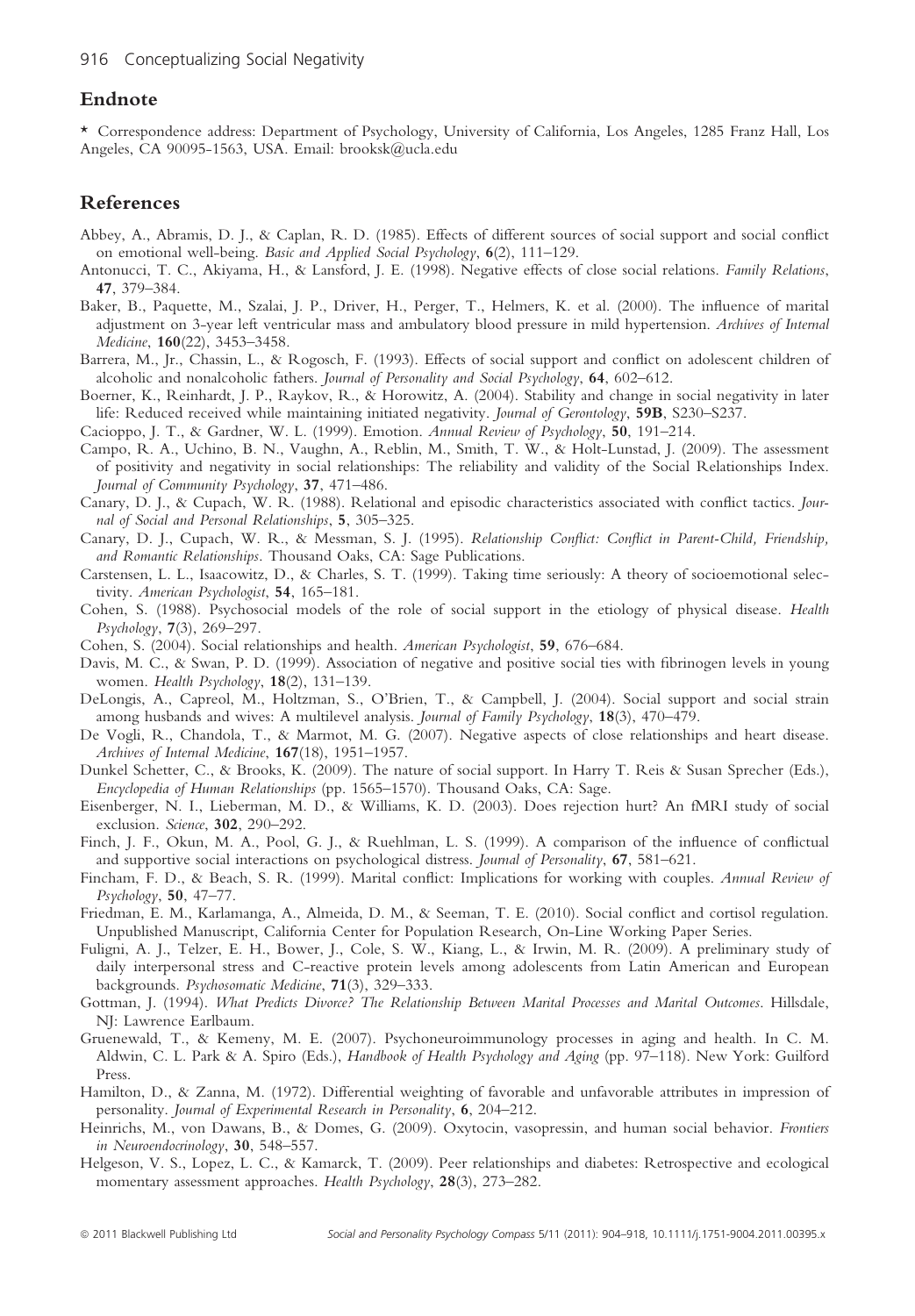#### Endnote

\* Correspondence address: Department of Psychology, University of California, Los Angeles, 1285 Franz Hall, Los Angeles, CA 90095-1563, USA. Email: brooksk@ucla.edu

#### References

- Abbey, A., Abramis, D. J., & Caplan, R. D. (1985). Effects of different sources of social support and social conflict on emotional well-being. Basic and Applied Social Psychology, 6(2), 111–129.
- Antonucci, T. C., Akiyama, H., & Lansford, J. E. (1998). Negative effects of close social relations. Family Relations, 47, 379–384.
- Baker, B., Paquette, M., Szalai, J. P., Driver, H., Perger, T., Helmers, K. et al. (2000). The influence of marital adjustment on 3-year left ventricular mass and ambulatory blood pressure in mild hypertension. Archives of Internal Medicine, 160(22), 3453–3458.
- Barrera, M., Jr., Chassin, L., & Rogosch, F. (1993). Effects of social support and conflict on adolescent children of alcoholic and nonalcoholic fathers. Journal of Personality and Social Psychology, 64, 602–612.
- Boerner, K., Reinhardt, J. P., Raykov, R., & Horowitz, A. (2004). Stability and change in social negativity in later life: Reduced received while maintaining initiated negativity. Journal of Gerontology, 59B, S230–S237.
- Cacioppo, J. T., & Gardner, W. L. (1999). Emotion. Annual Review of Psychology, 50, 191–214.
- Campo, R. A., Uchino, B. N., Vaughn, A., Reblin, M., Smith, T. W., & Holt-Lunstad, J. (2009). The assessment of positivity and negativity in social relationships: The reliability and validity of the Social Relationships Index. Journal of Community Psychology, 37, 471–486.
- Canary, D. J., & Cupach, W. R. (1988). Relational and episodic characteristics associated with conflict tactics. Journal of Social and Personal Relationships, 5, 305–325.
- Canary, D. J., Cupach, W. R., & Messman, S. J. (1995). Relationship Conflict: Conflict in Parent-Child, Friendship, and Romantic Relationships. Thousand Oaks, CA: Sage Publications.
- Carstensen, L. L., Isaacowitz, D., & Charles, S. T. (1999). Taking time seriously: A theory of socioemotional selectivity. American Psychologist, 54, 165–181.
- Cohen, S. (1988). Psychosocial models of the role of social support in the etiology of physical disease. Health Psychology, 7(3), 269–297.
- Cohen, S. (2004). Social relationships and health. American Psychologist, 59, 676–684.
- Davis, M. C., & Swan, P. D. (1999). Association of negative and positive social ties with fibrinogen levels in young women. Health Psychology, 18(2), 131–139.
- DeLongis, A., Capreol, M., Holtzman, S., O'Brien, T., & Campbell, J. (2004). Social support and social strain among husbands and wives: A multilevel analysis. Journal of Family Psychology, 18(3), 470–479.
- De Vogli, R., Chandola, T., & Marmot, M. G. (2007). Negative aspects of close relationships and heart disease. Archives of Internal Medicine, 167(18), 1951–1957.
- Dunkel Schetter, C., & Brooks, K. (2009). The nature of social support. In Harry T. Reis & Susan Sprecher (Eds.), Encyclopedia of Human Relationships (pp. 1565–1570). Thousand Oaks, CA: Sage.
- Eisenberger, N. I., Lieberman, M. D., & Williams, K. D. (2003). Does rejection hurt? An fMRI study of social exclusion. Science, 302, 290–292.
- Finch, J. F., Okun, M. A., Pool, G. J., & Ruehlman, L. S. (1999). A comparison of the influence of conflictual and supportive social interactions on psychological distress. Journal of Personality, 67, 581–621.
- Fincham, F. D., & Beach, S. R. (1999). Marital conflict: Implications for working with couples. Annual Review of Psychology, 50, 47–77.
- Friedman, E. M., Karlamanga, A., Almeida, D. M., & Seeman, T. E. (2010). Social conflict and cortisol regulation. Unpublished Manuscript, California Center for Population Research, On-Line Working Paper Series.
- Fuligni, A. J., Telzer, E. H., Bower, J., Cole, S. W., Kiang, L., & Irwin, M. R. (2009). A preliminary study of daily interpersonal stress and C-reactive protein levels among adolescents from Latin American and European backgrounds. Psychosomatic Medicine, 71(3), 329–333.
- Gottman, J. (1994). What Predicts Divorce? The Relationship Between Marital Processes and Marital Outcomes. Hillsdale, NJ: Lawrence Earlbaum.
- Gruenewald, T., & Kemeny, M. E. (2007). Psychoneuroimmunology processes in aging and health. In C. M. Aldwin, C. L. Park & A. Spiro (Eds.), Handbook of Health Psychology and Aging (pp. 97–118). New York: Guilford Press.
- Hamilton, D., & Zanna, M. (1972). Differential weighting of favorable and unfavorable attributes in impression of personality. Journal of Experimental Research in Personality, 6, 204–212.
- Heinrichs, M., von Dawans, B., & Domes, G. (2009). Oxytocin, vasopressin, and human social behavior. Frontiers in Neuroendocrinology, 30, 548–557.
- Helgeson, V. S., Lopez, L. C., & Kamarck, T. (2009). Peer relationships and diabetes: Retrospective and ecological momentary assessment approaches. Health Psychology, 28(3), 273–282.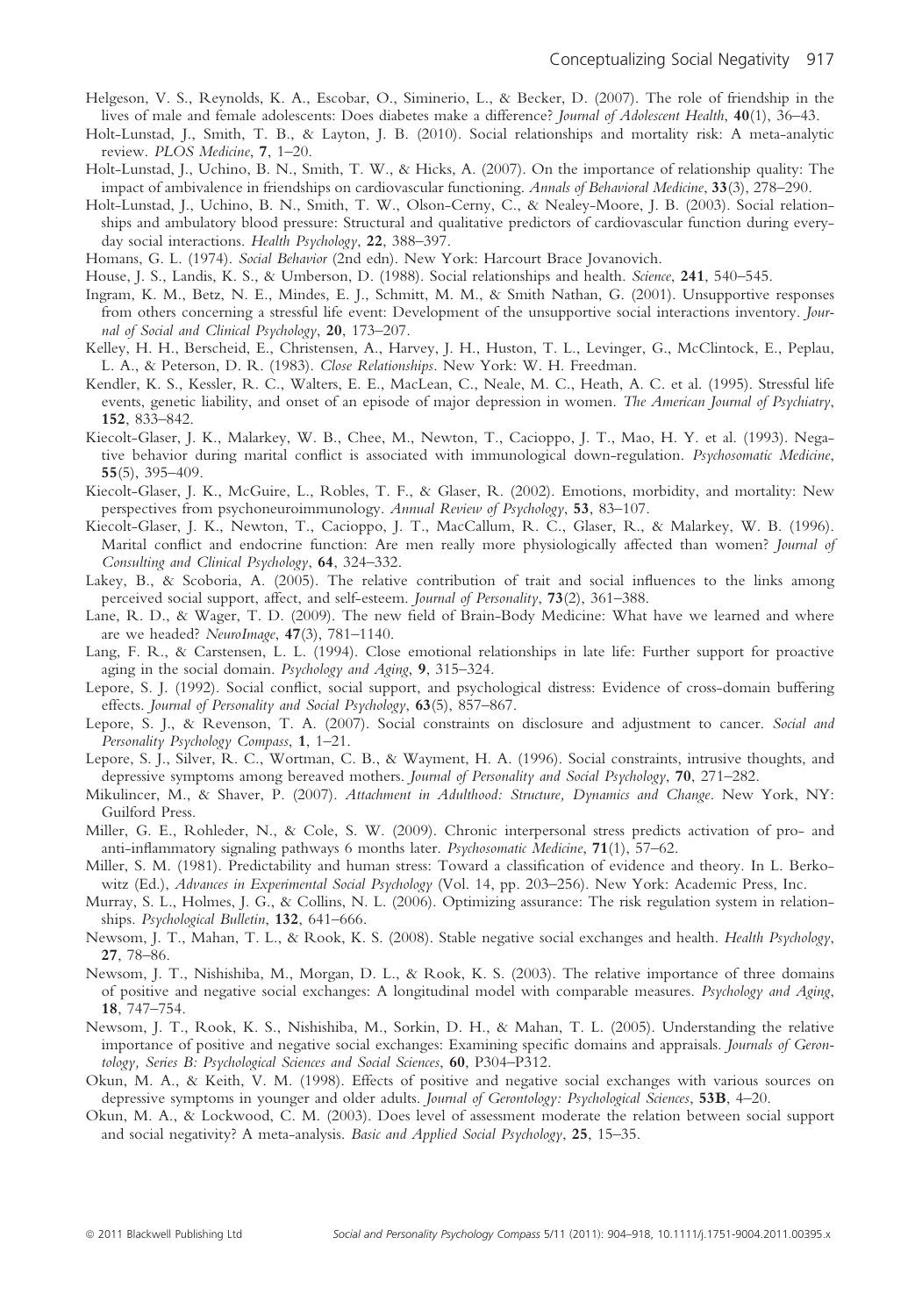- Helgeson, V. S., Reynolds, K. A., Escobar, O., Siminerio, L., & Becker, D. (2007). The role of friendship in the lives of male and female adolescents: Does diabetes make a difference? Journal of Adolescent Health, 40(1), 36–43.
- Holt-Lunstad, J., Smith, T. B., & Layton, J. B. (2010). Social relationships and mortality risk: A meta-analytic review. PLOS Medicine, 7, 1–20.
- Holt-Lunstad, J., Uchino, B. N., Smith, T. W., & Hicks, A. (2007). On the importance of relationship quality: The impact of ambivalence in friendships on cardiovascular functioning. Annals of Behavioral Medicine, 33(3), 278–290.
- Holt-Lunstad, J., Uchino, B. N., Smith, T. W., Olson-Cerny, C., & Nealey-Moore, J. B. (2003). Social relationships and ambulatory blood pressure: Structural and qualitative predictors of cardiovascular function during everyday social interactions. Health Psychology, 22, 388–397.
- Homans, G. L. (1974). Social Behavior (2nd edn). New York: Harcourt Brace Jovanovich.
- House, J. S., Landis, K. S., & Umberson, D. (1988). Social relationships and health. *Science*, **241**, 540–545.
- Ingram, K. M., Betz, N. E., Mindes, E. J., Schmitt, M. M., & Smith Nathan, G. (2001). Unsupportive responses from others concerning a stressful life event: Development of the unsupportive social interactions inventory. Journal of Social and Clinical Psychology, 20, 173–207.
- Kelley, H. H., Berscheid, E., Christensen, A., Harvey, J. H., Huston, T. L., Levinger, G., McClintock, E., Peplau, L. A., & Peterson, D. R. (1983). Close Relationships. New York: W. H. Freedman.
- Kendler, K. S., Kessler, R. C., Walters, E. E., MacLean, C., Neale, M. C., Heath, A. C. et al. (1995). Stressful life events, genetic liability, and onset of an episode of major depression in women. The American Journal of Psychiatry, 152, 833–842.
- Kiecolt-Glaser, J. K., Malarkey, W. B., Chee, M., Newton, T., Cacioppo, J. T., Mao, H. Y. et al. (1993). Negative behavior during marital conflict is associated with immunological down-regulation. Psychosomatic Medicine, 55(5), 395–409.
- Kiecolt-Glaser, J. K., McGuire, L., Robles, T. F., & Glaser, R. (2002). Emotions, morbidity, and mortality: New perspectives from psychoneuroimmunology. Annual Review of Psychology, 53, 83–107.
- Kiecolt-Glaser, J. K., Newton, T., Cacioppo, J. T., MacCallum, R. C., Glaser, R., & Malarkey, W. B. (1996). Marital conflict and endocrine function: Are men really more physiologically affected than women? Journal of Consulting and Clinical Psychology, 64, 324–332.
- Lakey, B., & Scoboria, A. (2005). The relative contribution of trait and social influences to the links among perceived social support, affect, and self-esteem. Journal of Personality, 73(2), 361–388.
- Lane, R. D., & Wager, T. D. (2009). The new field of Brain-Body Medicine: What have we learned and where are we headed? NeuroImage, 47(3), 781–1140.
- Lang, F. R., & Carstensen, L. L. (1994). Close emotional relationships in late life: Further support for proactive aging in the social domain. Psychology and Aging, 9, 315–324.
- Lepore, S. J. (1992). Social conflict, social support, and psychological distress: Evidence of cross-domain buffering effects. Journal of Personality and Social Psychology, 63(5), 857–867.
- Lepore, S. J., & Revenson, T. A. (2007). Social constraints on disclosure and adjustment to cancer. Social and Personality Psychology Compass, 1, 1–21.
- Lepore, S. J., Silver, R. C., Wortman, C. B., & Wayment, H. A. (1996). Social constraints, intrusive thoughts, and depressive symptoms among bereaved mothers. Journal of Personality and Social Psychology, 70, 271–282.
- Mikulincer, M., & Shaver, P. (2007). Attachment in Adulthood: Structure, Dynamics and Change. New York, NY: Guilford Press.
- Miller, G. E., Rohleder, N., & Cole, S. W. (2009). Chronic interpersonal stress predicts activation of pro- and anti-inflammatory signaling pathways 6 months later. Psychosomatic Medicine, 71(1), 57–62.
- Miller, S. M. (1981). Predictability and human stress: Toward a classification of evidence and theory. In L. Berkowitz (Ed.), Advances in Experimental Social Psychology (Vol. 14, pp. 203-256). New York: Academic Press, Inc.
- Murray, S. L., Holmes, J. G., & Collins, N. L. (2006). Optimizing assurance: The risk regulation system in relationships. Psychological Bulletin, 132, 641-666.
- Newsom, J. T., Mahan, T. L., & Rook, K. S. (2008). Stable negative social exchanges and health. Health Psychology, 27, 78–86.
- Newsom, J. T., Nishishiba, M., Morgan, D. L., & Rook, K. S. (2003). The relative importance of three domains of positive and negative social exchanges: A longitudinal model with comparable measures. Psychology and Aging, 18, 747–754.
- Newsom, J. T., Rook, K. S., Nishishiba, M., Sorkin, D. H., & Mahan, T. L. (2005). Understanding the relative importance of positive and negative social exchanges: Examining specific domains and appraisals. Journals of Gerontology, Series B: Psychological Sciences and Social Sciences, 60, P304-P312.
- Okun, M. A., & Keith, V. M. (1998). Effects of positive and negative social exchanges with various sources on depressive symptoms in younger and older adults. Journal of Gerontology: Psychological Sciences, 53B, 4-20.
- Okun, M. A., & Lockwood, C. M. (2003). Does level of assessment moderate the relation between social support and social negativity? A meta-analysis. Basic and Applied Social Psychology, 25, 15–35.